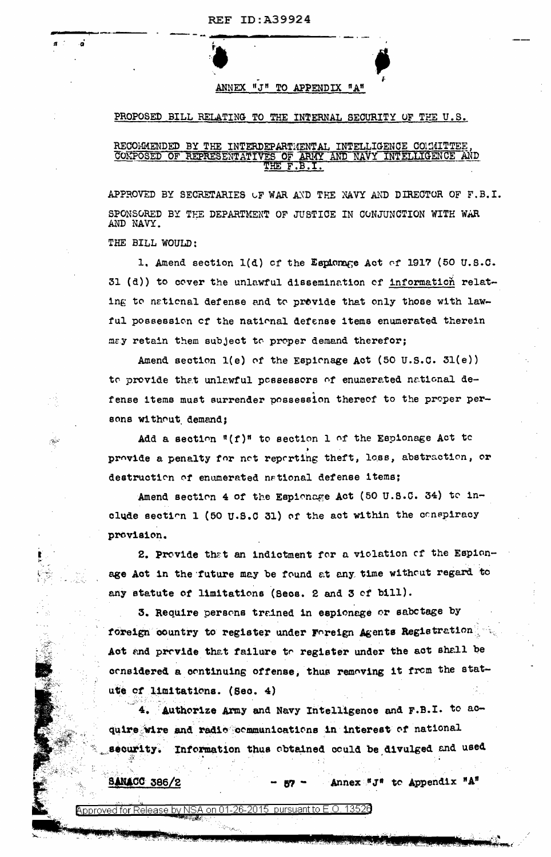ANNEX "J" TO APPENDIX "A"

## PROPOSED BILL RELATING TO THE INTERNAL SECURITY OF THE U.S.

## RECOMMENDED BY THE INTERDEPARTMENTAL INTELLIGENCE COMMITTEE ARMY AND NAVY INTELLIGENCE AND COMPOSED OF REPRESENTATIVES OF

APPROVED BY SECRETARIES UF WAR AND THE NAVY AND DIRECTOR OF F.B.I. SPONSORED BY THE DEPARTMENT OF JUSTICE IN CONJUNCTION WITH WAR AND NAVY.

THE BILL WOULD:

 $\ddot{\mathbf{a}}$ 

 $\mathbb{Z}^2$ 

1. Amend section 1(d) of the Espionage Act of 1917 (50 U.S.C. 31 (d)) to cover the unlawful dissemination of information relating to national defense and to provide that only those with lawful possession of the national defense items enumerated therein may retain them subject to proper demand therefor;

Amend section  $l(e)$  of the Espionage Act (50 U.S.C. 31(e)) to provide that unlawful possessors of enumerated national defense items must surrender possession thereof to the proper persons without demand;

Add a section "(f)" to section 1 of the Espionage Act to provide a penalty for net reperting theft, loss, abstraction, or destruction of enumerated national defense items;

Amend section 4 of the Espionage Act (50 U.S.C. 34) to include section 1 (50 U.S.C 31) of the act within the conspiracy provision.

2. Provide that an indictment for a violation of the Espionage Act in the future may be found at any time without regard to any statute of limitations (Secs. 2 and 3 of bill).

3. Require persons trained in espionage or sabotage by foreign country to register under Foreign Agents Registration Act and provide that failure to register under the act shall be considered a continuing offense, thus removing it from the statute of limitations. (Sec. 4)

4. Authorize Army and Navy Intelligence and F.B.I. to acquire wire and radic communications in interest of national security. Information thus obtained could be divulged and used

Annex "J" to Appendix "A"

**SANACC 386/2** 

 $\overline{\rm se}$  by NSA on 01-26-2015  $\,$  pursuant to E.O. 13526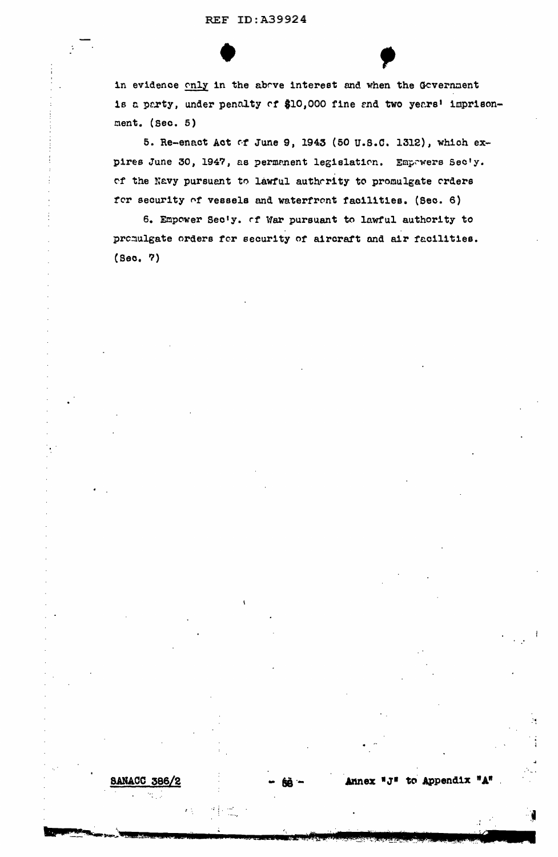in evidence only in the above interest and when the Government is a party, under penalty of \$10,000 fine and two years' imprisonment.  $(Sec. 5)$ 

5. Re-enact Act of June 9, 1943 (50 U.S.C. 1312), which expires June 30, 1947, as permanent legislation. Empawers Sec'y. of the Navy pursuant to lawful authority to promulgate orders for security of vessels and waterfront facilities. (Sec. 6)

6. Empower Sec'y. of War pursuant to lawful authority to promulgate orders for security of aircraft and air facilities.  $(Sec, 7)$ 

68 °

Annex "J" to Appendix "A"

**SANACC 386/2**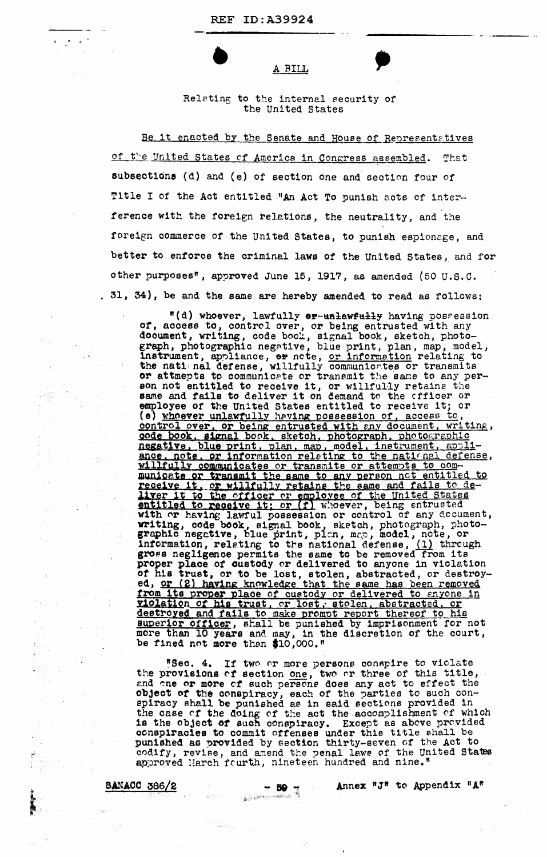$\mathcal{L} = \mathcal{L} \mathcal{L}$ 

## A BILL

## Relating to the internal security of the United States

Be it enacted by the Senate and House of Representatives of the United States of America in Congress assembled. That subsections (d) and (e) of section one and section four of Title I of the Act entitled "An Act To punish acts of interference with the foreign relations, the neutrality, and the foreign commerce of the United States, to punish espionage, and better to enforce the criminal laws of the United States, and for other purposes", approved June 15, 1917, as amended (50 U.S.C. . 31, 34), be and the same are hereby amended to read as follows:

"(d) whoever, lawfully er-unlawfully having possession of, access to, control over, or being entrusted with any document, writing, code book, signal book, sketch, photograph, photographic negative, blue print, plan, map, model, instrument, appliance, er note, or information relating to<br>the national defense, willfully communicates or transmits or attmepts to communicate or transmit the same to any person not entitled to receive it, or willfully retains the same and fails to deliver it on demand to the officer or employee of the United States entitled to receive it; or (e) whoever unlawfully having possession of, access to, control over, or being entrusted with any document, writing, code book, signal book, sketch, photograph, photographic negative, blue print, plan, map, model, instrument, appliance, note, or information releting to the national defense, <u>willfully communicates or transmits or attempts to com-</u> municate or transmit the same to any person not entitled to receive it, or willfully retains the same and fails to de-<br>liver it to the officer or employee of the United States<br>entitled to receive it; or (f) whoever, being entrusted with or having lawful possession or control of any decument, writing, code book, signal book, sketch, photograph, photo-graphic negative, blue print, plan, map, model, note, or information, relating to the national defense,  $(1)$  through gross negligence permits the same to be removed from its proper place of custody or delivered to anyone in violation of his trust, or to be lost, stolen, abstracted, or destroyed, or (2) having knowledge that the same has been removed from its proper place of custody or delivered to anyone in violation of his trust, or lost, stolen, abstracted, or destroyed and fails to make prompt report thereof to his superior officer, shall be punished by imprisonment for not more than 10 years and may, in the discretion of the court, be fined not more than \$10,000."

"Sec. 4. If two or more persons conspire to viclate the provisions of section one, two or three of this title, and one or more of such persons does any act to effect the object of the conspiracy, each of the parties to such con-spiracy shall be punished as in said sections provided in the case of the doing of the act the accomplishment of which is the object of such conspiracy. Except as above provided conspiracies to commit offenses under this title shall be punished as provided by section thirty-seven of the Act to codify, revise, and amend the penal laws of the United States approved March fourth, nineteen hundred and nine."

**SANACC 386/2** 

aperim

en de Santagen (1911).<br>Geografia

Annex "J" to Appendix "A"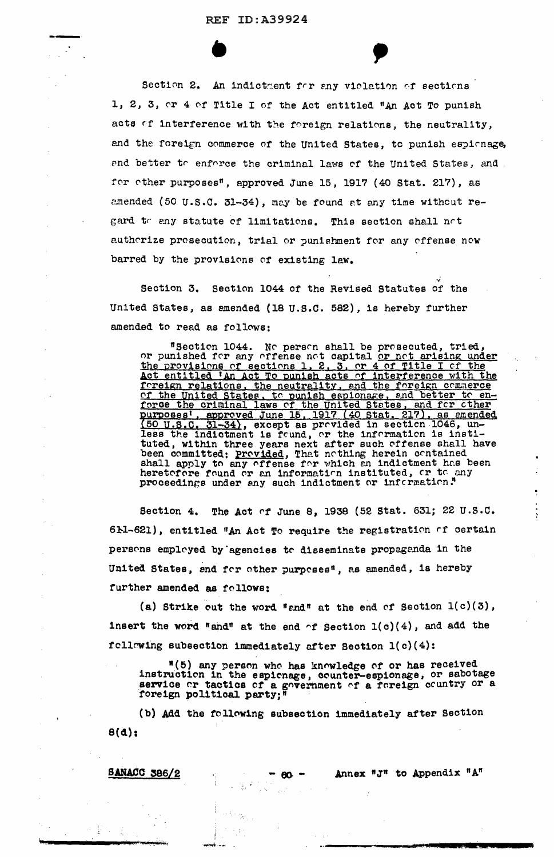Section 2. An indictment for any violation of sections 1, 2, 3, or 4 of Title I of the Act entitled "An Act To punish acts of interference with the foreign relations, the neutrality, and the foreign commerce of the United States, to punish espionage, and better to enforce the criminal laws of the United States, and for other purposes", approved June 15, 1917 (40 Stat. 217), as amended (50 U.S.C. 31-34), may be found at any time without regard to any statute of limitations. This section shall not authorize prosecution, trial or punishment for any offense now barred by the provisions of existing law.

Section 3. Section 1044 of the Revised Statutes of the United States, as amended (18 U.S.C. 582), is hereby further amended to read as follows:

"Section 1044. No person shall be prosecuted, tried, or punished for any offense not capital or not arising under <u>the provisions of sections 1, 2, 3, or 4 of Title I of the</u> Act entitled 'An Act To punish acts of interference with the foreign relations, the neutrality, and the foreign commerce of the United States, to punish espionage, and better to enforce the criminal laws of the United States, and for other purposes', approved June 15, 1917 (40 Stat. 217), as emended (50 U.S.C. 31-34), except as provided in section 1046, unless the indictment is found, or the information is instituted, within three years next after such offense shall have been committed; Provided, That nothing herein contained shall apply to any offense for which an indictment has been heretofore found or an information instituted, or to any proceedings under any such indictment or information."

The Act of June 8, 1938 (52 Stat. 631; 22 U.S.C. **Section 4,** 61-621), entitled "An Act To require the registration of certain persons employed by agencies to disseminate propaganda in the United States, and for other purposes", as amended, is hereby further amended as follows:

(a) Strike cut the word "and" at the end of Section  $1(c)(3)$ , insert the word "and" at the end  $\cap$ f Section  $1(c)(4)$ , and add the following subsection immediately after Section 1(c)(4):

"(5) any person who has knowledge of or has received instruction in the espionage, counter-espionage, or sabotage service or tactics of a government of a foreign country or a foreign political party;

Annex "J" to Appendix "A"

(b) Add the following subsection immediately after Section  $B(d)$  ;

**SANACC 386/2** 

- 5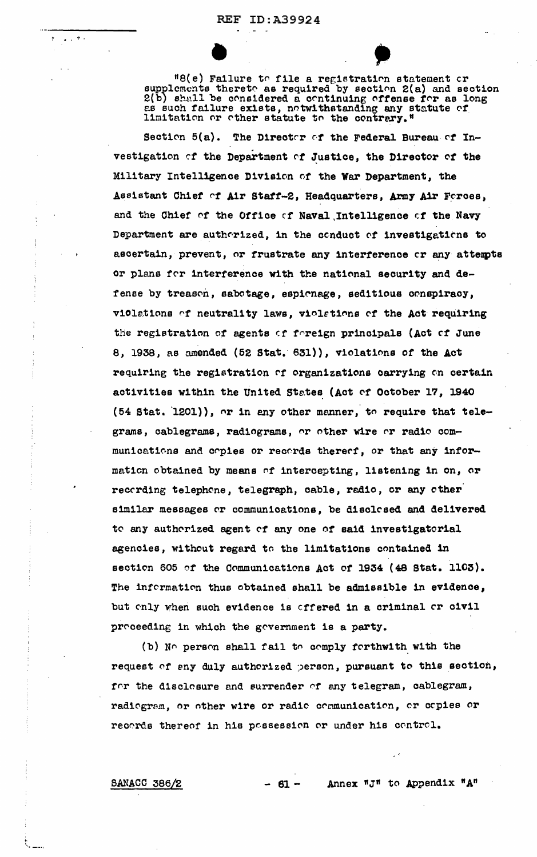$\mathcal{L}^{\text{max}}$ 

 $IB(e)$  Failure to file a registration statement or supplements thereto as required by section 2(a) and section 2(b) shall be considered a continuing offense for as long as such failure exists, notwithstanding any statute of limitation or other statute to the contrary."

Section  $5(a)$ . The Director of the Federal Bureau of Investigation of the Department of Justice, the Director of the Military Intelligence Division of the War Department, the Assistant Chief of Air Staff-2, Headquarters, Army Air Forces, and the Chief of the Office of Naval Intelligence of the Navy Department are authorized, in the conduct of investigations to ascertain, prevent, or frustrate any interference or any attempts or plans for interference with the national security and defense by treason, sabotage, espionage, seditious conspiracy, violations of neutrality laws, violations of the Act requiring the registration of agents of foreign principals (Act of June 8, 1938, as amended (52 Stat. 631)), violations of the Act requiring the registration of organizations carrying on certain activities within the United States (Act of October 17, 1940 (54 Stat. 1201)), or in any other manner, to require that telegrams, cablegrams, radiograms, or other wire or radio communications and copies or records thereof, or that any information obtained by means of intercepting, listening in on, or recording telephone, telegraph, cable, radio, or any other similar messages or communications, be disclosed and delivered to any authorized agent of any one of said investigatorial agencies, without regard to the limitations contained in section 605 of the Communications Act of 1934 (48 Stat. 1103). The information thus obtained shall be admissible in evidence, but only when such evidence is offered in a criminal or civil proceeding in which the government is a party.

(b) No person shall fail to comply forthwith with the request of any duly authorized person, pursuant to this section, for the disclesure and surrender of any telegram, cablegram, radiogram, or other wire or radio communication, or copies or records thereof in his possession or under his control.

SANACC 386/2

Annex "J" to Appendix "A"  $-61-$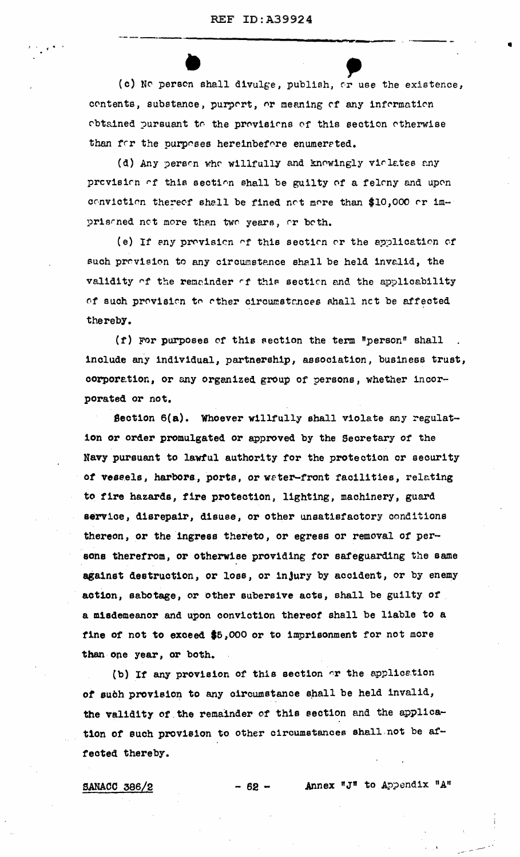(c) No person shall divulge, publish, or use the existence, contents, substance, purport, or meaning of any information obtained pursuant to the provisions of this section otherwise than for the purposes hereinbefore enumerated.

(d) Any person who willfully and knowingly violates any provision of this section shall be guilty of a felony and upon conviction thereof shall be fined not more than \$10,000 or imprisoned not more than two years, or both.

(e) If any provision of this section or the application of such provision to any circumstance shall be held invalid, the validity of the remainder of this section and the applicability of such provision to other circumstances shall not be affected thereby.

(f) For purposes of this section the term "person" shall include any individual, partnership, association, business trust, corporation, or any organized group of persons, whether incorporated or not.

Section 6(a). Whoever willfully shall violate any regulation or order promulgated or approved by the Secretary of the Navy pursuant to lawful authority for the protection or security of vessels, harbors, ports, or water-front facilities, relating to fire hazards, fire protection, lighting, machinery, guard service, disrepair, disuse, or other unsatisfactory conditions thereon, or the ingress thereto, or egress or removal of persons therefrom, or otherwise providing for safeguarding the same against destruction, or loss, or injury by accident, or by enemy action, sabotage, or other subersive acts, shall be guilty of a misdemeanor and upon conviction thereof shall be liable to a fine of not to exceed \$5,000 or to imprisonment for not more than one year, or both.

(b) If any provision of this section or the application of such provision to any circumstance shall be held invalid, the validity of the remainder of this section and the application of such provision to other circumstances shall not be affected thereby.

- 62 –

**SANACC 386/2** 

Annex "J" to Appendix "A"